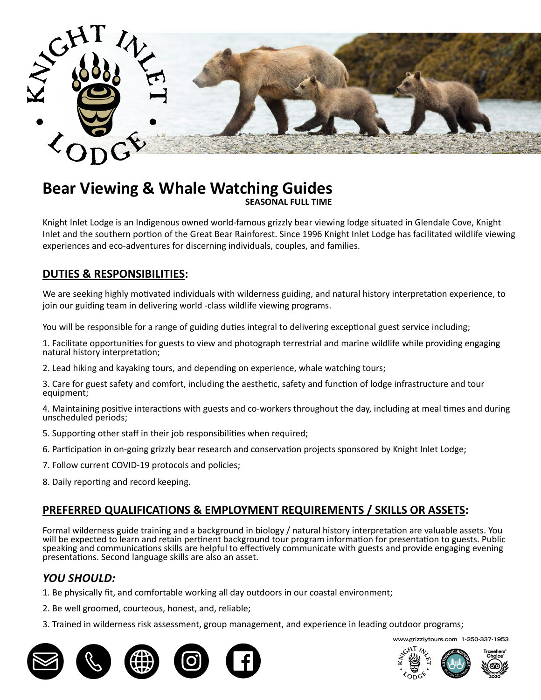

# **Bear Viewing & Whale Watching Guides**

Knight Inlet Lodge is an Indigenous owned world-famous grizzly bear viewing lodge situated in Glendale Cove, Knight Inlet and the southern portion of the Great Bear Rainforest. Since 1996 Knight Inlet Lodge has facilitated wildlife viewing experiences and eco-adventures for discerning individuals, couples, and families.

## **DUTIES & RESPONSIBILITIES:**

We are seeking highly motivated individuals with wilderness guiding, and natural history interpretation experience, to join our guiding team in delivering world -class wildlife viewing programs.

Knight Inlet Lodge is an Indigenous owned world-famous grizzly bear viewing lodge situated in Knight Inlet and You will be responsible for a range of guiding duties integral to delivering exceptional guest service including;

1. Facilitate opportunities for guests to view and photograph terrestrial and marine wildlife while providing engaging the southern portion of the Great Bear Rainforest. Since 1996 Knight Inlet Lodge has facilitated wildlife viewing natural history interpretation;

2. Lead hiking and kayaking tours, and depending on experience, whale watching tours;

breakfast buffet of hot and continental items as well as providing an egg station, cooking eggs/omelets a la 3. Care for guest safety and comfort, including the aesthetic, safety and function of lodge infrastructure and tour equipment;

th guests and co-workers throughout the day, including at meal times and during minute, requiring one-on-one interaction with lodge guests and staff. Previous catering experience and 4. Maintaining positive interactions with guests and co-workers throughout the day, including at meal times and during unscheduled periods;

- 5. Supporting other staff in their job responsibilities when required;
- 6. Participation in on-going grizzly bear research and conservation projects sponsored by Knight Inlet Lodge;
- 7. Follow current COVID-19 protocols and policies;
- 8. Daily reporting and record keeping.

#### <u>PREFERRED QUALIFICATIONS & EMPLOYMENT REQUIREMENTS / SKILLS OR ASSETS</u>: • have knives and the required knife skills;  $\frac{b}{\sqrt{b}}$

Formal wilderness guide training and a background in biology / natural history interpretation are valuable assets. You will be expected to learn and retain pertinent background tour program information for presentation to guests. Public speaking and communications skills are helpful to effectively communicate with guests and provide engaging evening<br>nresentations, Sesand language ckills are also an asset an dood: presentations. Second language skills are also an asset.

## *YOU SHOULD:*

- . COUSIVUMM.<br>1. Be physically fit, and comfortable working all day outdoors in our coastal environment;
- 2. Be well groomed, courteous, honest, and, reliable;
- 3. Trained in wilderness risk assessment, group management, and experience in leading outdoor programs;



**www.grizzlytours.com 1-250-337-1953**